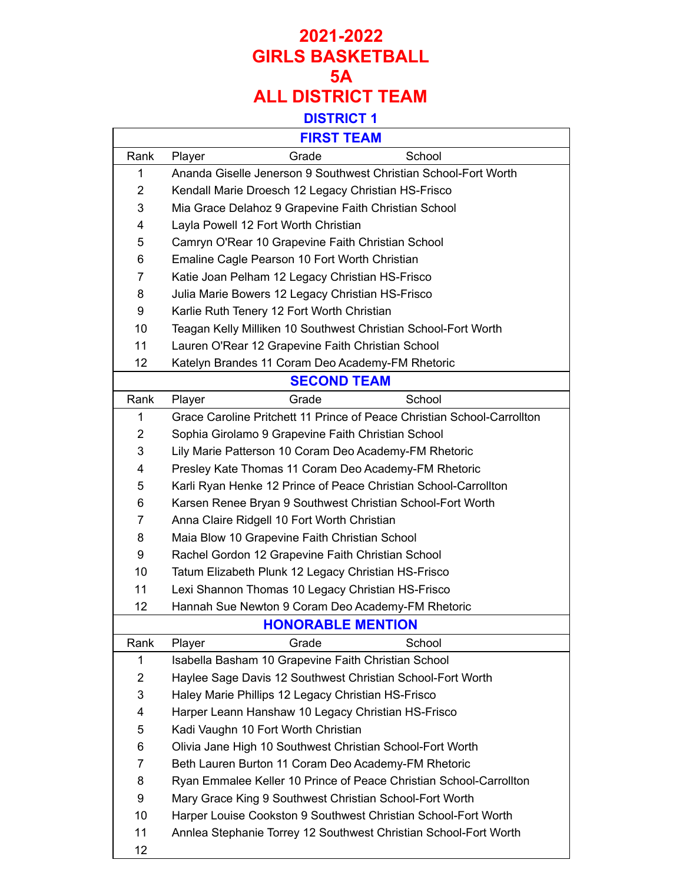|                | <b>FIRST TEAM</b>                                                       |
|----------------|-------------------------------------------------------------------------|
| Rank           | School<br>Grade<br>Player                                               |
| 1              | Ananda Giselle Jenerson 9 Southwest Christian School-Fort Worth         |
| $\overline{2}$ | Kendall Marie Droesch 12 Legacy Christian HS-Frisco                     |
| 3              | Mia Grace Delahoz 9 Grapevine Faith Christian School                    |
| 4              | Layla Powell 12 Fort Worth Christian                                    |
| 5              | Camryn O'Rear 10 Grapevine Faith Christian School                       |
| 6              | Emaline Cagle Pearson 10 Fort Worth Christian                           |
| 7              | Katie Joan Pelham 12 Legacy Christian HS-Frisco                         |
| 8              | Julia Marie Bowers 12 Legacy Christian HS-Frisco                        |
| 9              | Karlie Ruth Tenery 12 Fort Worth Christian                              |
| 10             | Teagan Kelly Milliken 10 Southwest Christian School-Fort Worth          |
| 11             | Lauren O'Rear 12 Grapevine Faith Christian School                       |
| 12             | Katelyn Brandes 11 Coram Deo Academy-FM Rhetoric                        |
|                | <b>SECOND TEAM</b>                                                      |
| Rank           | School<br>Grade<br>Player                                               |
| 1              | Grace Caroline Pritchett 11 Prince of Peace Christian School-Carrollton |
| $\overline{2}$ | Sophia Girolamo 9 Grapevine Faith Christian School                      |
| 3              | Lily Marie Patterson 10 Coram Deo Academy-FM Rhetoric                   |
| 4              | Presley Kate Thomas 11 Coram Deo Academy-FM Rhetoric                    |
| 5              | Karli Ryan Henke 12 Prince of Peace Christian School-Carrollton         |
| 6              | Karsen Renee Bryan 9 Southwest Christian School-Fort Worth              |
| 7              | Anna Claire Ridgell 10 Fort Worth Christian                             |
| 8              | Maia Blow 10 Grapevine Faith Christian School                           |
| 9              | Rachel Gordon 12 Grapevine Faith Christian School                       |
| 10             | Tatum Elizabeth Plunk 12 Legacy Christian HS-Frisco                     |
| 11             | Lexi Shannon Thomas 10 Legacy Christian HS-Frisco                       |
| 12             | Hannah Sue Newton 9 Coram Deo Academy-FM Rhetoric                       |
|                | <b>HONORABLE MENTION</b>                                                |
| Rank           | School<br>Grade<br>Player                                               |
| 1              | Isabella Basham 10 Grapevine Faith Christian School                     |
| 2              | Haylee Sage Davis 12 Southwest Christian School-Fort Worth              |
| 3              | Haley Marie Phillips 12 Legacy Christian HS-Frisco                      |
| 4              | Harper Leann Hanshaw 10 Legacy Christian HS-Frisco                      |
| 5              | Kadi Vaughn 10 Fort Worth Christian                                     |
| 6              | Olivia Jane High 10 Southwest Christian School-Fort Worth               |
| 7              | Beth Lauren Burton 11 Coram Deo Academy-FM Rhetoric                     |
| 8              | Ryan Emmalee Keller 10 Prince of Peace Christian School-Carrollton      |
| 9              | Mary Grace King 9 Southwest Christian School-Fort Worth                 |
| 10             | Harper Louise Cookston 9 Southwest Christian School-Fort Worth          |
| 11             | Annlea Stephanie Torrey 12 Southwest Christian School-Fort Worth        |
| 12             |                                                                         |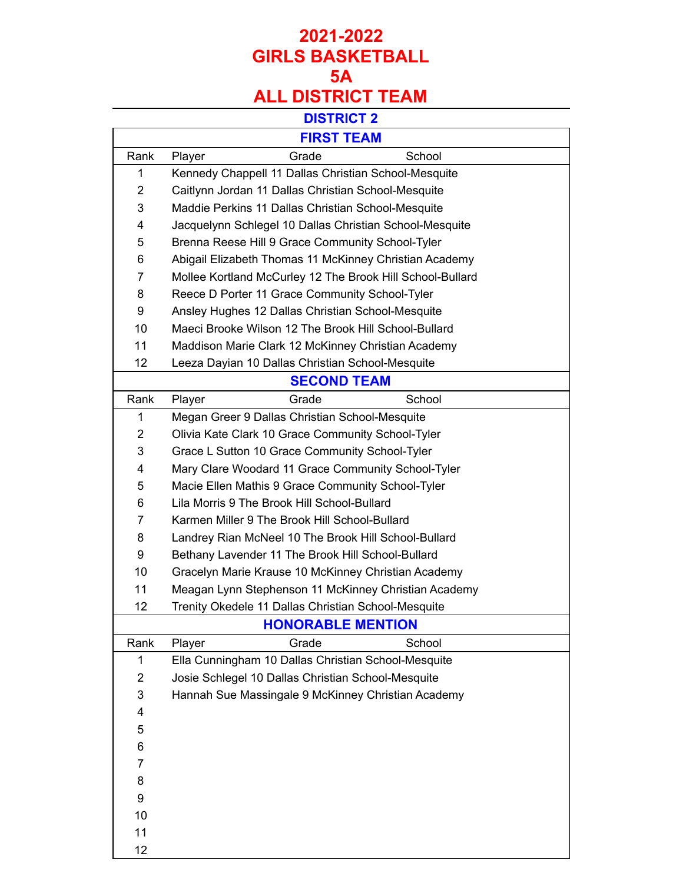### **DISTRICT 2**

|                | <b>FIRST TEAM</b>                                         |
|----------------|-----------------------------------------------------------|
| Rank           | School<br>Grade<br>Player                                 |
| 1              | Kennedy Chappell 11 Dallas Christian School-Mesquite      |
| $\overline{2}$ | Caitlynn Jordan 11 Dallas Christian School-Mesquite       |
| 3              | Maddie Perkins 11 Dallas Christian School-Mesquite        |
| 4              | Jacquelynn Schlegel 10 Dallas Christian School-Mesquite   |
| 5              | Brenna Reese Hill 9 Grace Community School-Tyler          |
| 6              | Abigail Elizabeth Thomas 11 McKinney Christian Academy    |
| 7              | Mollee Kortland McCurley 12 The Brook Hill School-Bullard |
| 8              | Reece D Porter 11 Grace Community School-Tyler            |
| 9              | Ansley Hughes 12 Dallas Christian School-Mesquite         |
| 10             | Maeci Brooke Wilson 12 The Brook Hill School-Bullard      |
| 11             | Maddison Marie Clark 12 McKinney Christian Academy        |
| 12             | Leeza Dayian 10 Dallas Christian School-Mesquite          |
|                | <b>SECOND TEAM</b>                                        |
| Rank           | Player<br>Grade<br>School                                 |
| $\mathbf 1$    | Megan Greer 9 Dallas Christian School-Mesquite            |
| $\overline{2}$ | Olivia Kate Clark 10 Grace Community School-Tyler         |
| 3              | Grace L Sutton 10 Grace Community School-Tyler            |
| 4              | Mary Clare Woodard 11 Grace Community School-Tyler        |
| 5              | Macie Ellen Mathis 9 Grace Community School-Tyler         |
| 6              | Lila Morris 9 The Brook Hill School-Bullard               |
| 7              | Karmen Miller 9 The Brook Hill School-Bullard             |
| 8              | Landrey Rian McNeel 10 The Brook Hill School-Bullard      |
| 9              | Bethany Lavender 11 The Brook Hill School-Bullard         |
| 10             | Gracelyn Marie Krause 10 McKinney Christian Academy       |
| 11             | Meagan Lynn Stephenson 11 McKinney Christian Academy      |
| 12             | Trenity Okedele 11 Dallas Christian School-Mesquite       |
|                | <b>HONORABLE MENTION</b>                                  |
| Rank           | Player<br>Grade<br>School                                 |
| $\mathbf 1$    | Ella Cunningham 10 Dallas Christian School-Mesquite       |
| 2              | Josie Schlegel 10 Dallas Christian School-Mesquite        |
| 3              | Hannah Sue Massingale 9 McKinney Christian Academy        |
| 4              |                                                           |
| 5              |                                                           |
| 6              |                                                           |
| 7              |                                                           |
| 8              |                                                           |
| 9              |                                                           |
| 10             |                                                           |
| 11             |                                                           |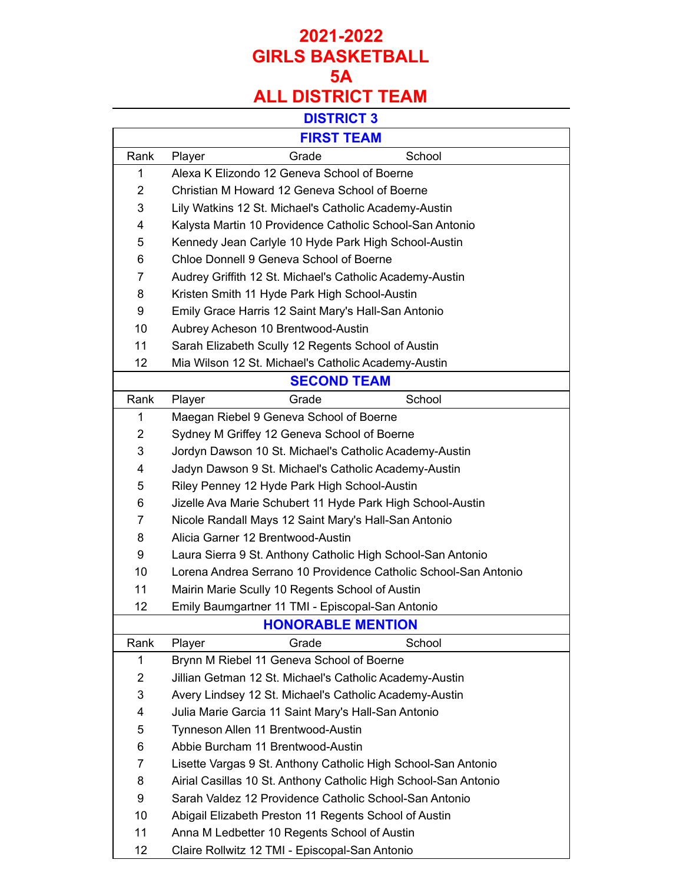# **DISTRICT 3**

| <b>FIRST TEAM</b> |                                                                 |  |
|-------------------|-----------------------------------------------------------------|--|
| Rank              | Grade<br>School<br>Player                                       |  |
| 1                 | Alexa K Elizondo 12 Geneva School of Boerne                     |  |
| 2                 | Christian M Howard 12 Geneva School of Boerne                   |  |
| 3                 | Lily Watkins 12 St. Michael's Catholic Academy-Austin           |  |
| 4                 | Kalysta Martin 10 Providence Catholic School-San Antonio        |  |
| 5                 | Kennedy Jean Carlyle 10 Hyde Park High School-Austin            |  |
| 6                 | Chloe Donnell 9 Geneva School of Boerne                         |  |
| 7                 | Audrey Griffith 12 St. Michael's Catholic Academy-Austin        |  |
| 8                 | Kristen Smith 11 Hyde Park High School-Austin                   |  |
| 9                 | Emily Grace Harris 12 Saint Mary's Hall-San Antonio             |  |
| 10                | Aubrey Acheson 10 Brentwood-Austin                              |  |
| 11                | Sarah Elizabeth Scully 12 Regents School of Austin              |  |
| 12                | Mia Wilson 12 St. Michael's Catholic Academy-Austin             |  |
|                   | <b>SECOND TEAM</b>                                              |  |
| Rank              | Grade<br>School<br>Player                                       |  |
| 1                 | Maegan Riebel 9 Geneva School of Boerne                         |  |
| 2                 | Sydney M Griffey 12 Geneva School of Boerne                     |  |
| 3                 | Jordyn Dawson 10 St. Michael's Catholic Academy-Austin          |  |
| 4                 | Jadyn Dawson 9 St. Michael's Catholic Academy-Austin            |  |
| 5                 | Riley Penney 12 Hyde Park High School-Austin                    |  |
| 6                 | Jizelle Ava Marie Schubert 11 Hyde Park High School-Austin      |  |
| 7                 | Nicole Randall Mays 12 Saint Mary's Hall-San Antonio            |  |
| 8                 | Alicia Garner 12 Brentwood-Austin                               |  |
| 9                 | Laura Sierra 9 St. Anthony Catholic High School-San Antonio     |  |
| 10                | Lorena Andrea Serrano 10 Providence Catholic School-San Antonio |  |
| 11                | Mairin Marie Scully 10 Regents School of Austin                 |  |
| 12                | Emily Baumgartner 11 TMI - Episcopal-San Antonio                |  |
|                   | <b>HONORABLE MENTION</b>                                        |  |
| Rank              | School<br>Player<br>Grade                                       |  |
| $\mathbf 1$       | Brynn M Riebel 11 Geneva School of Boerne                       |  |
| 2                 | Jillian Getman 12 St. Michael's Catholic Academy-Austin         |  |
| 3                 | Avery Lindsey 12 St. Michael's Catholic Academy-Austin          |  |
| 4                 | Julia Marie Garcia 11 Saint Mary's Hall-San Antonio             |  |
| 5                 | Tynneson Allen 11 Brentwood-Austin                              |  |
| 6                 | Abbie Burcham 11 Brentwood-Austin                               |  |
| 7                 | Lisette Vargas 9 St. Anthony Catholic High School-San Antonio   |  |
| 8                 | Airial Casillas 10 St. Anthony Catholic High School-San Antonio |  |
| 9                 | Sarah Valdez 12 Providence Catholic School-San Antonio          |  |
| 10                | Abigail Elizabeth Preston 11 Regents School of Austin           |  |
| 11                | Anna M Ledbetter 10 Regents School of Austin                    |  |
| 12                | Claire Rollwitz 12 TMI - Episcopal-San Antonio                  |  |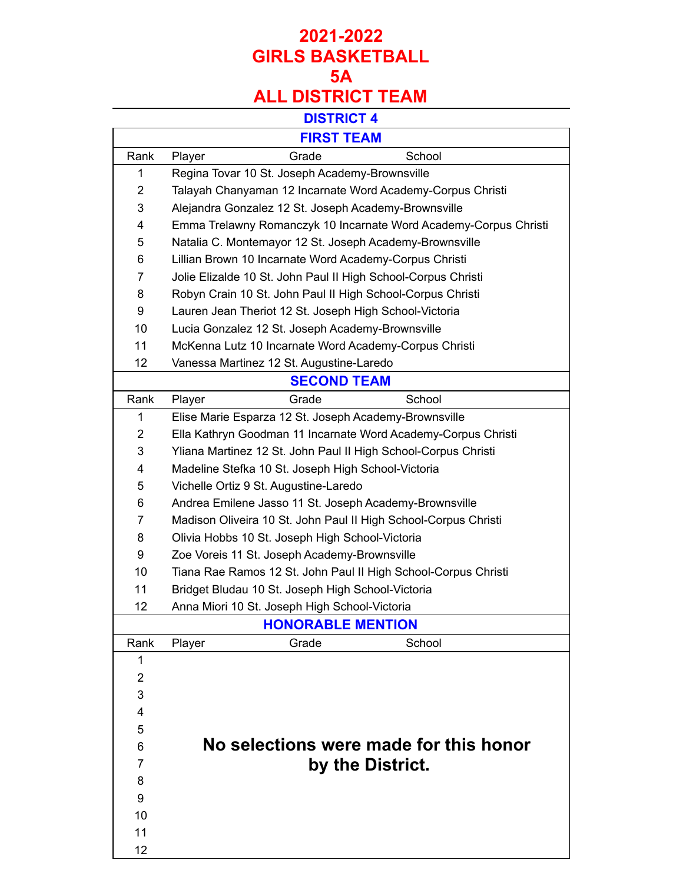### **DISTRICT 4**

|                | <b>FIRST TEAM</b>                                                |
|----------------|------------------------------------------------------------------|
| Rank           | School<br>Grade<br>Player                                        |
| 1              | Regina Tovar 10 St. Joseph Academy-Brownsville                   |
| $\overline{2}$ | Talayah Chanyaman 12 Incarnate Word Academy-Corpus Christi       |
| 3              | Alejandra Gonzalez 12 St. Joseph Academy-Brownsville             |
| 4              | Emma Trelawny Romanczyk 10 Incarnate Word Academy-Corpus Christi |
| 5              | Natalia C. Montemayor 12 St. Joseph Academy-Brownsville          |
| 6              | Lillian Brown 10 Incarnate Word Academy-Corpus Christi           |
| 7              | Jolie Elizalde 10 St. John Paul II High School-Corpus Christi    |
| 8              | Robyn Crain 10 St. John Paul II High School-Corpus Christi       |
| 9              | Lauren Jean Theriot 12 St. Joseph High School-Victoria           |
| 10             | Lucia Gonzalez 12 St. Joseph Academy-Brownsville                 |
| 11             | McKenna Lutz 10 Incarnate Word Academy-Corpus Christi            |
| 12             | Vanessa Martinez 12 St. Augustine-Laredo                         |
|                | <b>SECOND TEAM</b>                                               |
| Rank           | School<br>Player<br>Grade                                        |
| 1              | Elise Marie Esparza 12 St. Joseph Academy-Brownsville            |
| $\overline{2}$ | Ella Kathryn Goodman 11 Incarnate Word Academy-Corpus Christi    |
| 3              | Yliana Martinez 12 St. John Paul II High School-Corpus Christi   |
| 4              | Madeline Stefka 10 St. Joseph High School-Victoria               |
| 5              | Vichelle Ortiz 9 St. Augustine-Laredo                            |
| 6              | Andrea Emilene Jasso 11 St. Joseph Academy-Brownsville           |
| 7              | Madison Oliveira 10 St. John Paul II High School-Corpus Christi  |
| 8              | Olivia Hobbs 10 St. Joseph High School-Victoria                  |
| 9              | Zoe Voreis 11 St. Joseph Academy-Brownsville                     |
| 10             | Tiana Rae Ramos 12 St. John Paul II High School-Corpus Christi   |
| 11             | Bridget Bludau 10 St. Joseph High School-Victoria                |
| 12             | Anna Miori 10 St. Joseph High School-Victoria                    |
|                | <b>HONORABLE MENTION</b>                                         |
| Rank           | Player<br>Grade<br>School                                        |
| 1              |                                                                  |
| $\overline{2}$ |                                                                  |
| 3              |                                                                  |
| 4              |                                                                  |
| 5              |                                                                  |
| 6              | No selections were made for this honor                           |
| 7              | by the District.                                                 |
| 8              |                                                                  |
| 9              |                                                                  |
| 10             |                                                                  |
| 11             |                                                                  |